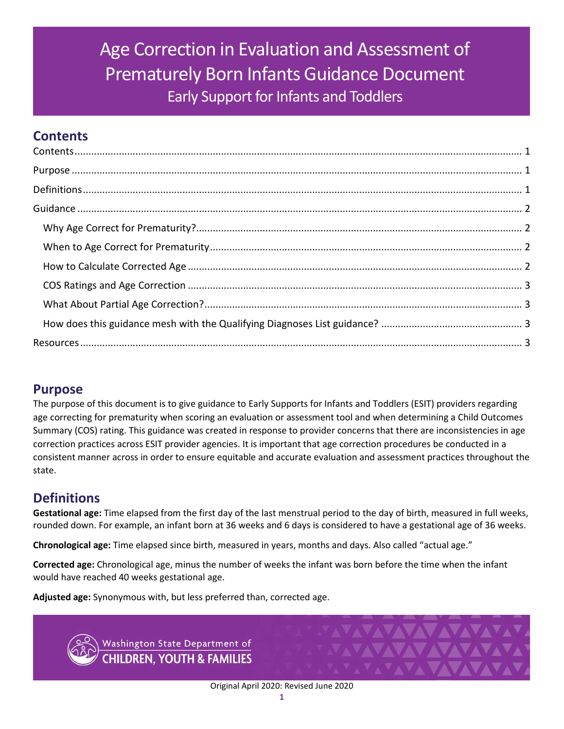# <span id="page-0-0"></span>Age Correction in Evaluation and Assessment of Prematurely Born Infants Guidance Document Early Support for Infants and Toddlers

## **Contents**

## <span id="page-0-1"></span>**Purpose**

The purpose of this document is to give guidance to Early Supports for Infants and Toddlers (ESIT) providers regarding age correcting for prematurity when scoring an evaluation or assessment tool and when determining a Child Outcomes Summary (COS) rating. This guidance was created in response to provider concerns that there are inconsistencies in age correction practices across ESIT provider agencies. It is important that age correction procedures be conducted in a consistent manner across in order to ensure equitable and accurate evaluation and assessment practices throughout the state.

## <span id="page-0-2"></span>**Definitions**

**Gestational age:** Time elapsed from the first day of the last menstrual period to the day of birth, measured in full weeks, rounded down. For example, an infant born at 36 weeks and 6 days is considered to have a gestational age of 36 weeks.

**Chronological age:** Time elapsed since birth, measured in years, months and days. Also called "actual age."

**Corrected age:** Chronological age, minus the number of weeks the infant was born before the time when the infant would have reached 40 weeks gestational age.

**Adjusted age:** Synonymous with, but less preferred than, corrected age.



Washington State Department of **HILDREN, YOUTH & FAMILIES**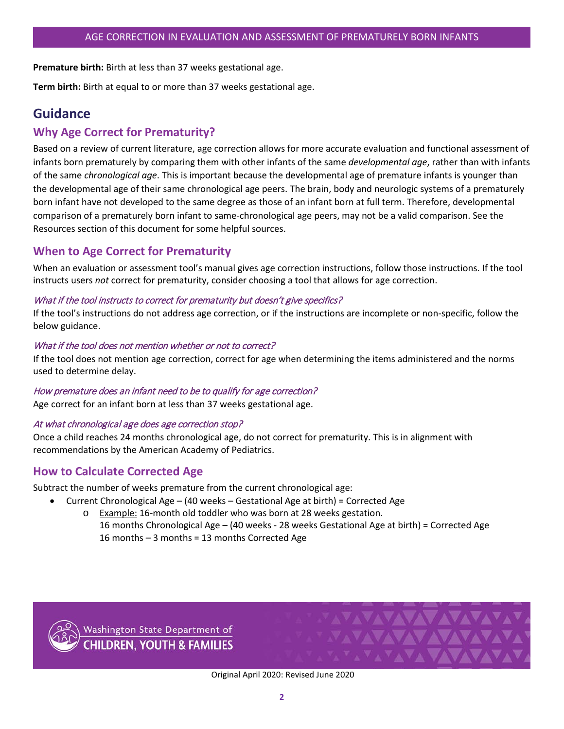**Premature birth:** Birth at less than 37 weeks gestational age.

**Term birth:** Birth at equal to or more than 37 weeks gestational age.

## <span id="page-1-0"></span>**Guidance**

## <span id="page-1-1"></span>**Why Age Correct for Prematurity?**

Based on a review of current literature, age correction allows for more accurate evaluation and functional assessment of infants born prematurely by comparing them with other infants of the same *developmental age*, rather than with infants of the same *chronological age*. This is important because the developmental age of premature infants is younger than the developmental age of their same chronological age peers. The brain, body and neurologic systems of a prematurely born infant have not developed to the same degree as those of an infant born at full term. Therefore, developmental comparison of a prematurely born infant to same-chronological age peers, may not be a valid comparison. See the Resources section of this document for some helpful sources.

## <span id="page-1-2"></span>**When to Age Correct for Prematurity**

When an evaluation or assessment tool's manual gives age correction instructions, follow those instructions. If the tool instructs users *not* correct for prematurity, consider choosing a tool that allows for age correction.

#### What if the tool instructs to correct for prematurity but doesn't give specifics?

If the tool's instructions do not address age correction, or if the instructions are incomplete or non-specific, follow the below guidance.

#### What if the tool does not mention whether or not to correct?

If the tool does not mention age correction, correct for age when determining the items administered and the norms used to determine delay.

#### How premature does an infant need to be to qualify for age correction?

Age correct for an infant born at less than 37 weeks gestational age.

#### At what chronological age does age correction stop?

Once a child reaches 24 months chronological age, do not correct for prematurity. This is in alignment with recommendations by the American Academy of Pediatrics.

### <span id="page-1-3"></span>**How to Calculate Corrected Age**

Subtract the number of weeks premature from the current chronological age:

- Current Chronological Age (40 weeks Gestational Age at birth) = Corrected Age
	- o Example: 16-month old toddler who was born at 28 weeks gestation. 16 months Chronological Age – (40 weeks - 28 weeks Gestational Age at birth) = Corrected Age 16 months – 3 months = 13 months Corrected Age



Washington State Department of **CHILDREN. YOUTH & FAMILIES** 

Original April 2020: Revised June 2020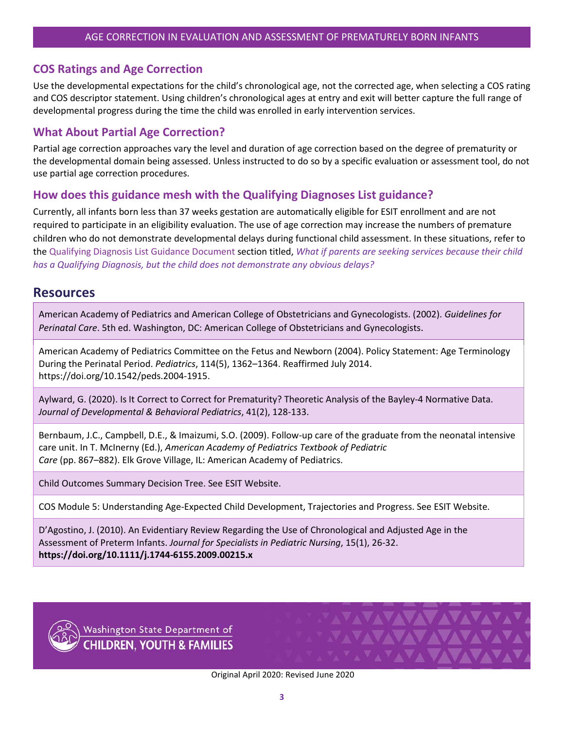### <span id="page-2-0"></span>**COS Ratings and Age Correction**

Use the developmental expectations for the child's chronological age, not the corrected age, when selecting a COS rating and COS descriptor statement. Using children's chronological ages at entry and exit will better capture the full range of developmental progress during the time the child was enrolled in early intervention services.

## <span id="page-2-1"></span>**What About Partial Age Correction?**

Partial age correction approaches vary the level and duration of age correction based on the degree of prematurity or the developmental domain being assessed. Unless instructed to do so by a specific evaluation or assessment tool, do not use partial age correction procedures.

### <span id="page-2-2"></span>**How does this guidance mesh with the Qualifying Diagnoses List guidance?**

Currently, all infants born less than 37 weeks gestation are automatically eligible for ESIT enrollment and are not required to participate in an eligibility evaluation. The use of age correction may increase the numbers of premature children who do not demonstrate developmental delays during functional child assessment. In these situations, refer to the [Qualifying Diagnosis List Guidance Document](https://www.dcyf.wa.gov/sites/default/files/pdf/esit/QualifyingDiagnosisList-Guide.pdf) section titled, *What if parents are seeking services because their child has a Qualifying Diagnosis, but the child does not demonstrate any obvious delays?*

## <span id="page-2-3"></span>**Resources**

American Academy of Pediatrics and American College of Obstetricians and Gynecologists. (2002). *Guidelines for Perinatal Care*. 5th ed. Washington, DC: American College of Obstetricians and Gynecologists.

American Academy of Pediatrics Committee on the Fetus and Newborn (2004)[. Policy Statement: Age Terminology](https://pediatrics.aappublications.org/content/114/5/1362.long)  During the [Perinatal Period.](https://pediatrics.aappublications.org/content/114/5/1362.long) *Pediatrics*, 114(5), 1362–1364. Reaffirmed July 2014. [https://doi.org/10.1542/peds.2004-1915.](https://doi.org/10.1542/peds.2004-1915)

Aylward, G. (2020). Is It Correct to Correct for Prematurity? Theoretic Analysis of the Bayley-4 Normative Data. *Journal of Developmental & Behavioral Pediatrics*, [41\(2\),](https://journals.lww.com/jrnldbp/pages/currenttoc.aspx) 128-133.

Bernbaum, J.C., Campbell, D.E., & Imaizumi, S.O. (2009). Follow-up care of the graduate from the neonatal intensive care unit. In T. McInerny (Ed.), *American Academy of Pediatrics Textbook of Pediatric Care* (pp. 867–882). Elk Grove Village, IL: American Academy of Pediatrics.

Child Outcomes Summary Decision Tree. See ESIT Website.

COS Module 5: Understanding Age-Expected Child Development, Trajectories and Progress. See ESIT Website.

D'Agostino, J. (2010). An Evidentiary Review Regarding the Use of Chronological and Adjusted Age in the Assessment of Preterm Infants. *Journal for Specialists in Pediatric Nursing*, 15(1), 26-32. **<https://doi.org/10.1111/j.1744-6155.2009.00215.x>**



Washington State Department of<br>CHILDREN, YOUTH & FAMILIES

Original April 2020: Revised June 2020

VAVAVAVAVAVAV